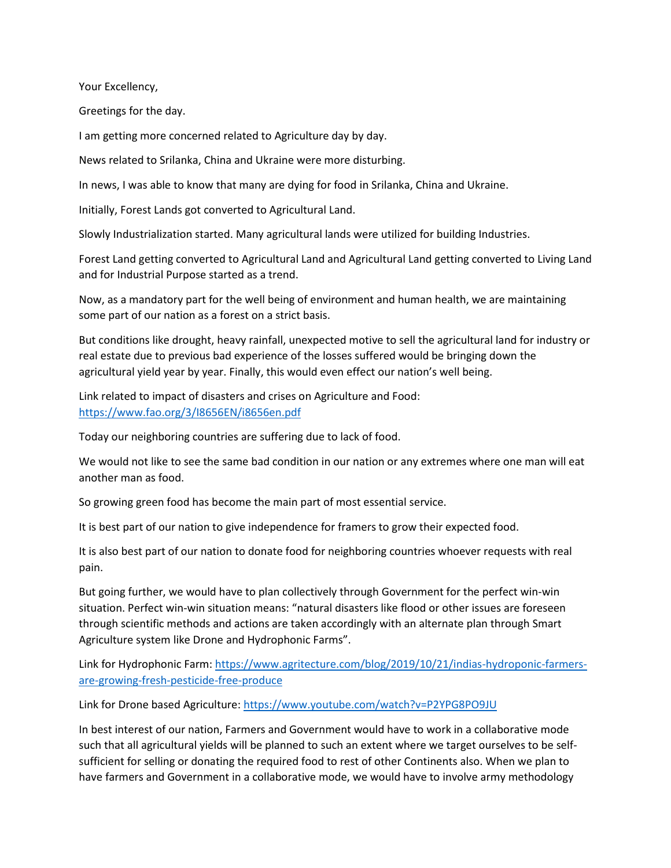Your Excellency,

Greetings for the day.

I am getting more concerned related to Agriculture day by day.

News related to Srilanka, China and Ukraine were more disturbing.

In news, I was able to know that many are dying for food in Srilanka, China and Ukraine.

Initially, Forest Lands got converted to Agricultural Land.

Slowly Industrialization started. Many agricultural lands were utilized for building Industries.

Forest Land getting converted to Agricultural Land and Agricultural Land getting converted to Living Land and for Industrial Purpose started as a trend.

Now, as a mandatory part for the well being of environment and human health, we are maintaining some part of our nation as a forest on a strict basis.

But conditions like drought, heavy rainfall, unexpected motive to sell the agricultural land for industry or real estate due to previous bad experience of the losses suffered would be bringing down the agricultural yield year by year. Finally, this would even effect our nation's well being.

Link related to impact of disasters and crises on Agriculture and Food: <https://www.fao.org/3/I8656EN/i8656en.pdf>

Today our neighboring countries are suffering due to lack of food.

We would not like to see the same bad condition in our nation or any extremes where one man will eat another man as food.

So growing green food has become the main part of most essential service.

It is best part of our nation to give independence for framers to grow their expected food.

It is also best part of our nation to donate food for neighboring countries whoever requests with real pain.

But going further, we would have to plan collectively through Government for the perfect win-win situation. Perfect win-win situation means: "natural disasters like flood or other issues are foreseen through scientific methods and actions are taken accordingly with an alternate plan through Smart Agriculture system like Drone and Hydrophonic Farms".

Link for Hydrophonic Farm: [https://www.agritecture.com/blog/2019/10/21/indias-hydroponic-farmers](https://www.agritecture.com/blog/2019/10/21/indias-hydroponic-farmers-are-growing-fresh-pesticide-free-produce)[are-growing-fresh-pesticide-free-produce](https://www.agritecture.com/blog/2019/10/21/indias-hydroponic-farmers-are-growing-fresh-pesticide-free-produce)

Link for Drone based Agriculture:<https://www.youtube.com/watch?v=P2YPG8PO9JU>

In best interest of our nation, Farmers and Government would have to work in a collaborative mode such that all agricultural yields will be planned to such an extent where we target ourselves to be selfsufficient for selling or donating the required food to rest of other Continents also. When we plan to have farmers and Government in a collaborative mode, we would have to involve army methodology